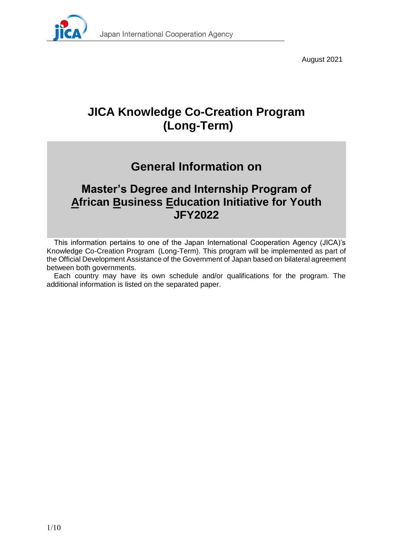

August 2021

# **JICA Knowledge Co-Creation Program (Long-Term)**

# **General Information on**

# **Master's Degree and Internship Program of African Business Education Initiative for Youth JFY2022**

This information pertains to one of the Japan International Cooperation Agency (JICA)'s Knowledge Co-Creation Program (Long-Term). This program will be implemented as part of the Official Development Assistance of the Government of Japan based on bilateral agreement between both governments.

Each country may have its own schedule and/or qualifications for the program. The additional information is listed on the separated paper.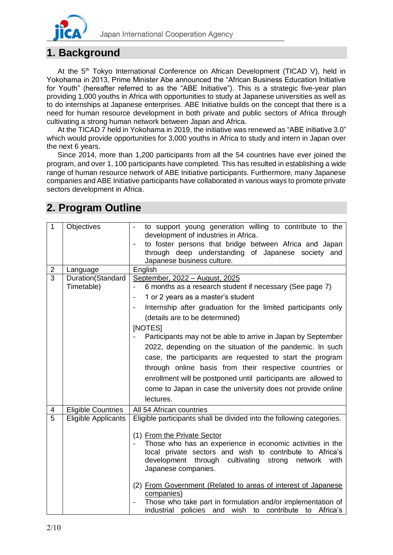

# **1. Background**

At the 5<sup>th</sup> Tokyo International Conference on African Development (TICAD V), held in Yokohama in 2013, Prime Minister Abe announced the "African Business Education Initiative for Youth" (hereafter referred to as the "ABE Initiative"). This is a strategic five-year plan providing 1,000 youths in Africa with opportunities to study at Japanese universities as well as to do internships at Japanese enterprises. ABE Initiative builds on the concept that there is a need for human resource development in both private and public sectors of Africa through cultivating a strong human network between Japan and Africa.

At the TICAD 7 held in Yokohama in 2019, the initiative was renewed as "ABE initiative 3.0" which would provide opportunities for 3,000 youths in Africa to study and intern in Japan over the next 6 years.

Since 2014, more than 1,200 participants from all the 54 countries have ever joined the program, and over 1,100 participants have completed. This has resulted in establishing a wide range of human resource network of ABE Initiative participants. Furthermore, many Japanese companies and ABE Initiative participants have collaborated in various ways to promote private sectors development in Africa.

| $\mathbf{1}$            | Objectives                 | to support young generation willing to contribute to the                                                              |  |  |
|-------------------------|----------------------------|-----------------------------------------------------------------------------------------------------------------------|--|--|
|                         |                            | development of industries in Africa.                                                                                  |  |  |
|                         |                            | to foster persons that bridge between Africa and Japan                                                                |  |  |
|                         |                            | through deep understanding of Japanese society and                                                                    |  |  |
|                         |                            | Japanese business culture.                                                                                            |  |  |
| $\overline{\mathbf{c}}$ | Language                   | English                                                                                                               |  |  |
| $\overline{3}$          | Duration(Standard          | September, 2022 - August, 2025                                                                                        |  |  |
|                         | Timetable)                 | 6 months as a research student if necessary (See page 7)                                                              |  |  |
|                         |                            | 1 or 2 years as a master's student<br>$\overline{\phantom{a}}$                                                        |  |  |
|                         |                            | Internship after graduation for the limited participants only<br>$\overline{\phantom{a}}$                             |  |  |
|                         |                            | (details are to be determined)                                                                                        |  |  |
|                         |                            | [NOTES]                                                                                                               |  |  |
|                         |                            | Participants may not be able to arrive in Japan by September                                                          |  |  |
|                         |                            | 2022, depending on the situation of the pandemic. In such                                                             |  |  |
|                         |                            | case, the participants are requested to start the program                                                             |  |  |
|                         |                            | through online basis from their respective countries or                                                               |  |  |
|                         |                            | enrollment will be postponed until participants are allowed to                                                        |  |  |
|                         |                            |                                                                                                                       |  |  |
|                         |                            | come to Japan in case the university does not provide online                                                          |  |  |
|                         |                            | lectures.                                                                                                             |  |  |
| 4                       | <b>Eligible Countries</b>  | All 54 African countries                                                                                              |  |  |
| $\overline{5}$          | <b>Eligible Applicants</b> | Eligible participants shall be divided into the following categories.                                                 |  |  |
|                         |                            |                                                                                                                       |  |  |
|                         |                            | (1) From the Private Sector                                                                                           |  |  |
|                         |                            | Those who has an experience in economic activities in the<br>local private sectors and wish to contribute to Africa's |  |  |
|                         |                            | development through cultivating<br>strong<br>network<br>with                                                          |  |  |
|                         |                            | Japanese companies.                                                                                                   |  |  |
|                         |                            |                                                                                                                       |  |  |
|                         |                            | (2) From Government (Related to areas of interest of Japanese                                                         |  |  |
|                         |                            | companies)                                                                                                            |  |  |
|                         |                            | Those who take part in formulation and/or implementation of                                                           |  |  |
|                         |                            | contribute<br>Africa's<br>industrial policies and wish to<br>to                                                       |  |  |

# **2. Program Outline**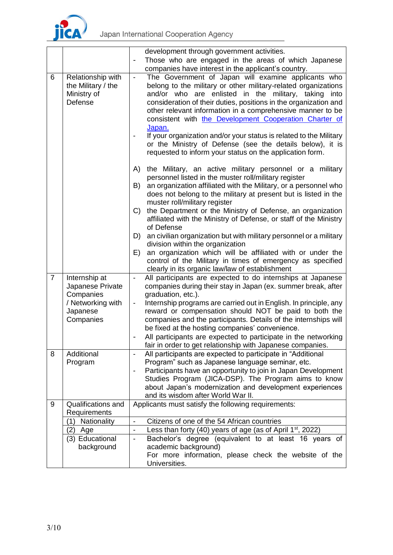

|                |                                                                                              | development through government activities.                                                                                                                                                                                                                                                                                                                                                                                                                                                                                                                                                                                                                                                                                                                                   |  |  |
|----------------|----------------------------------------------------------------------------------------------|------------------------------------------------------------------------------------------------------------------------------------------------------------------------------------------------------------------------------------------------------------------------------------------------------------------------------------------------------------------------------------------------------------------------------------------------------------------------------------------------------------------------------------------------------------------------------------------------------------------------------------------------------------------------------------------------------------------------------------------------------------------------------|--|--|
|                |                                                                                              | Those who are engaged in the areas of which Japanese<br>$\overline{\phantom{a}}$                                                                                                                                                                                                                                                                                                                                                                                                                                                                                                                                                                                                                                                                                             |  |  |
|                |                                                                                              | companies have interest in the applicant's country.                                                                                                                                                                                                                                                                                                                                                                                                                                                                                                                                                                                                                                                                                                                          |  |  |
| 6              | Relationship with<br>the Military / the<br>Ministry of<br>Defense                            | The Government of Japan will examine applicants who<br>$\blacksquare$<br>belong to the military or other military-related organizations<br>and/or who are enlisted in the military, taking<br>into<br>consideration of their duties, positions in the organization and<br>other relevant information in a comprehensive manner to be<br>consistent with the Development Cooperation Charter of<br>Japan.<br>If your organization and/or your status is related to the Military<br>or the Ministry of Defense (see the details below), it is<br>requested to inform your status on the application form.                                                                                                                                                                      |  |  |
|                |                                                                                              | A)<br>the Military, an active military personnel or a military<br>personnel listed in the muster roll/military register<br>an organization affiliated with the Military, or a personnel who<br>B)<br>does not belong to the military at present but is listed in the<br>muster roll/military register<br>the Department or the Ministry of Defense, an organization<br>$\mathcal{C}$<br>affiliated with the Ministry of Defense, or staff of the Ministry<br>of Defense<br>an civilian organization but with military personnel or a military<br>D)<br>division within the organization<br>an organization which will be affiliated with or under the<br>E)<br>control of the Military in times of emergency as specified<br>clearly in its organic law/law of establishment |  |  |
| $\overline{7}$ | Internship at<br>Japanese Private<br>Companies<br>/ Networking with<br>Japanese<br>Companies | All participants are expected to do internships at Japanese<br>$\overline{\phantom{a}}$<br>companies during their stay in Japan (ex. summer break, after<br>graduation, etc.).<br>Internship programs are carried out in English. In principle, any<br>$\overline{\phantom{a}}$<br>reward or compensation should NOT be paid to both the<br>companies and the participants. Details of the internships will<br>be fixed at the hosting companies' convenience.<br>All participants are expected to participate in the networking<br>fair in order to get relationship with Japanese companies.                                                                                                                                                                               |  |  |
| 8              | Additional<br>Program                                                                        | All participants are expected to participate in "Additional<br>$\overline{\phantom{a}}$<br>Program" such as Japanese language seminar, etc.<br>Participants have an opportunity to join in Japan Development<br>Studies Program (JICA-DSP). The Program aims to know<br>about Japan's modernization and development experiences<br>and its wisdom after World War II.                                                                                                                                                                                                                                                                                                                                                                                                        |  |  |
| 9              | Qualifications and                                                                           | Applicants must satisfy the following requirements:                                                                                                                                                                                                                                                                                                                                                                                                                                                                                                                                                                                                                                                                                                                          |  |  |
|                | Requirements                                                                                 |                                                                                                                                                                                                                                                                                                                                                                                                                                                                                                                                                                                                                                                                                                                                                                              |  |  |
|                | Nationality<br>(1)                                                                           | Citizens of one of the 54 African countries<br>$\blacksquare$                                                                                                                                                                                                                                                                                                                                                                                                                                                                                                                                                                                                                                                                                                                |  |  |
|                | (2)<br>Age                                                                                   | Less than forty (40) years of age (as of April $1st$ , 2022)<br>$\overline{\phantom{a}}$                                                                                                                                                                                                                                                                                                                                                                                                                                                                                                                                                                                                                                                                                     |  |  |
|                | (3) Educational<br>background                                                                | Bachelor's degree (equivalent to at least 16 years of<br>$\overline{\phantom{a}}$<br>academic background)<br>For more information, please check the website of the                                                                                                                                                                                                                                                                                                                                                                                                                                                                                                                                                                                                           |  |  |
|                |                                                                                              | Universities.                                                                                                                                                                                                                                                                                                                                                                                                                                                                                                                                                                                                                                                                                                                                                                |  |  |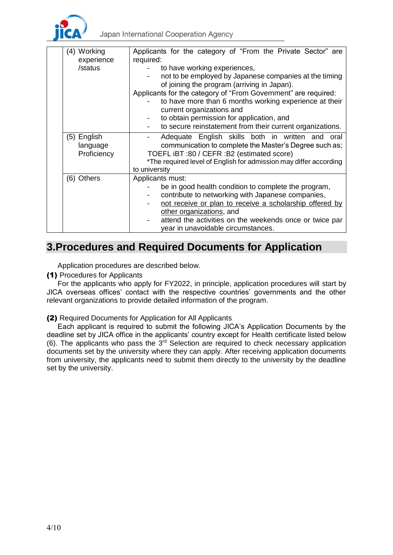

| (4) Working<br>experience              | Applicants for the category of "From the Private Sector" are<br>required:                                                                                                                                                                                                                                                                                                                                |
|----------------------------------------|----------------------------------------------------------------------------------------------------------------------------------------------------------------------------------------------------------------------------------------------------------------------------------------------------------------------------------------------------------------------------------------------------------|
| /status                                | to have working experiences,<br>not to be employed by Japanese companies at the timing<br>of joining the program (arriving in Japan).<br>Applicants for the category of "From Government" are required:<br>to have more than 6 months working experience at their<br>current organizations and<br>to obtain permission for application, and<br>to secure reinstatement from their current organizations. |
| (5) English<br>language<br>Proficiency | Adequate English skills both in written and oral<br>communication to complete the Master's Degree such as;<br>TOEFL iBT :80 / CEFR :B2 (estimated score)<br>*The required level of English for admission may differ according<br>to university                                                                                                                                                           |
| (6) Others                             | Applicants must:<br>be in good health condition to complete the program,<br>contribute to networking with Japanese companies,<br>not receive or plan to receive a scholarship offered by<br>other organizations, and<br>attend the activities on the weekends once or twice par<br>year in unavoidable circumstances.                                                                                    |

## **3.Procedures and Required Documents for Application**

Application procedures are described below.

(1) Procedures for Applicants

For the applicants who apply for FY2022, in principle, application procedures will start by JICA overseas offices' contact with the respective countries' governments and the other relevant organizations to provide detailed information of the program.

### (2) Required Documents for Application for All Applicants

Each applicant is required to submit the following JICA's Application Documents by the deadline set by JICA office in the applicants' country except for Health certificate listed below  $(6)$ . The applicants who pass the  $3<sup>rd</sup>$  Selection are required to check necessary application documents set by the university where they can apply. After receiving application documents from university, the applicants need to submit them directly to the university by the deadline set by the university.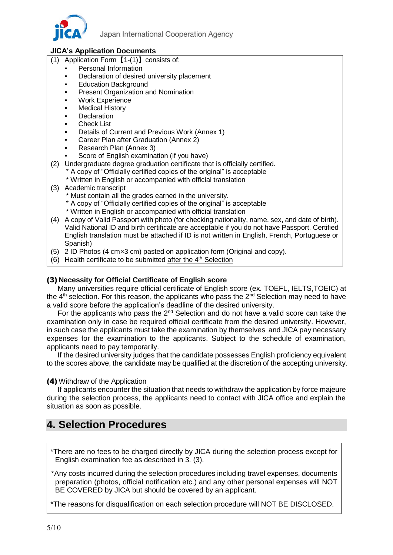

### **JICA's Application Documents**

- (1) Application Form【1-(1)】consists of:
	- Personal Information
	- Declaration of desired university placement
	- **Education Background**
	- **Present Organization and Nomination**
	- **Work Experience**
	- **Medical History**
	- **Declaration**
	- **Check List**
	- Details of Current and Previous Work (Annex 1)
	- Career Plan after Graduation (Annex 2)
	- Research Plan (Annex 3)
	- Score of English examination (if you have)
- (2) Undergraduate degree graduation certificate that is officially certified.
	- \* A copy of "Officially certified copies of the original" is acceptable
	- \* Written in English or accompanied with official translation
- (3) Academic transcript
	- \* Must contain all the grades earned in the university.
	- \* A copy of "Officially certified copies of the original" is acceptable
	- \* Written in English or accompanied with official translation
- (4) A copy of Valid Passport with photo (for checking nationality, name, sex, and date of birth). Valid National ID and birth certificate are acceptable if you do not have Passport. Certified English translation must be attached if ID is not written in English, French, Portuguese or Spanish)
- (5) 2 ID Photos (4 cm×3 cm) pasted on application form (Original and copy).
- (6) Health certificate to be submitted after the  $4<sup>th</sup>$  Selection

#### (3) **Necessity for Official Certificate of English score**

Many universities require official certificate of English score (ex. TOEFL, IELTS,TOEIC) at the  $4<sup>th</sup>$  selection. For this reason, the applicants who pass the  $2<sup>nd</sup>$  Selection may need to have a valid score before the application's deadline of the desired university.

For the applicants who pass the  $2^{nd}$  Selection and do not have a valid score can take the examination only in case be required official certificate from the desired university. However, in such case the applicants must take the examination by themselves and JICA pay necessary expenses for the examination to the applicants. Subject to the schedule of examination, applicants need to pay temporarily.

If the desired university judges that the candidate possesses English proficiency equivalent to the scores above, the candidate may be qualified at the discretion of the accepting university.

#### (4) Withdraw of the Application

If applicants encounter the situation that needs to withdraw the application by force majeure during the selection process, the applicants need to contact with JICA office and explain the situation as soon as possible.

# **4. Selection Procedures**

- \*There are no fees to be charged directly by JICA during the selection process except for English examination fee as described in 3. (3).
- \*Any costs incurred during the selection procedures including travel expenses, documents preparation (photos, official notification etc.) and any other personal expenses will NOT BE COVERED by JICA but should be covered by an applicant.

\*The reasons for disqualification on each selection procedure will NOT BE DISCLOSED.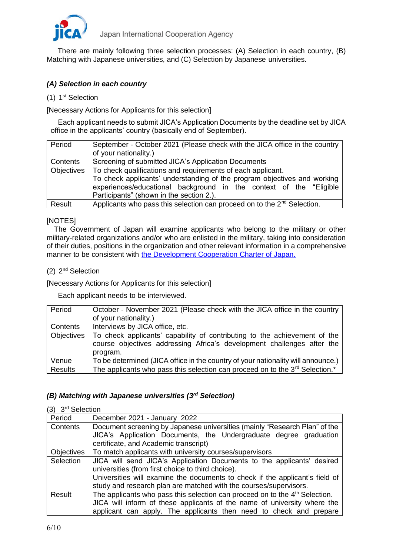

There are mainly following three selection processes: (A) Selection in each country, (B) Matching with Japanese universities, and (C) Selection by Japanese universities.

### *(A) Selection in each country*

#### (1) 1<sup>st</sup> Selection

[Necessary Actions for Applicants for this selection]

Each applicant needs to submit JICA's Application Documents by the deadline set by JICA office in the applicants' country (basically end of September).

| Period     | September - October 2021 (Please check with the JICA office in the country<br>of your nationality.)                                     |  |  |
|------------|-----------------------------------------------------------------------------------------------------------------------------------------|--|--|
| Contents   | Screening of submitted JICA's Application Documents                                                                                     |  |  |
| Objectives | To check qualifications and requirements of each applicant.<br>To check applicants' understanding of the program objectives and working |  |  |
|            | experiences/educational background in the context of the "Eligible<br>Participants" (shown in the section 2.).                          |  |  |
| Result     | Applicants who pass this selection can proceed on to the 2 <sup>nd</sup> Selection.                                                     |  |  |

#### [NOTES]

The Government of Japan will examine applicants who belong to the military or other military-related organizations and/or who are enlisted in the military, taking into consideration of their duties, positions in the organization and other relevant information in a comprehensive manner to be consistent with [the Development Cooperation Charter of Japan.](https://www.mofa.go.jp/policy/oda/page_000138.html)

#### (2) 2<sup>nd</sup> Selection

[Necessary Actions for Applicants for this selection]

Each applicant needs to be interviewed.

| Period         | October - November 2021 (Please check with the JICA office in the country<br>of your nationality.)                                                              |
|----------------|-----------------------------------------------------------------------------------------------------------------------------------------------------------------|
| Contents       | Interviews by JICA office, etc.                                                                                                                                 |
| Objectives     | To check applicants' capability of contributing to the achievement of the<br>course objectives addressing Africa's development challenges after the<br>program. |
| Venue          | To be determined (JICA office in the country of your nationality will announce.)                                                                                |
| <b>Results</b> | The applicants who pass this selection can proceed on to the 3 <sup>rd</sup> Selection. <sup>*</sup>                                                            |

#### *(B) Matching with Japanese universities (3 rd Selection)*

#### (3) 3<sup>rd</sup> Selection

| Period            | December 2021 - January 2022                                                            |  |  |
|-------------------|-----------------------------------------------------------------------------------------|--|--|
| Contents          | Document screening by Japanese universities (mainly "Research Plan" of the              |  |  |
|                   | JICA's Application Documents, the Undergraduate degree graduation                       |  |  |
|                   | certificate, and Academic transcript)                                                   |  |  |
| <b>Objectives</b> | To match applicants with university courses/supervisors                                 |  |  |
| Selection         | JICA will send JICA's Application Documents to the applicants' desired                  |  |  |
|                   | universities (from first choice to third choice).                                       |  |  |
|                   | Universities will examine the documents to check if the applicant's field of            |  |  |
|                   | study and research plan are matched with the courses/supervisors.                       |  |  |
| Result            | The applicants who pass this selection can proceed on to the 4 <sup>th</sup> Selection. |  |  |
|                   | JICA will inform of these applicants of the name of university where the                |  |  |
|                   | applicant can apply. The applicants then need to check and prepare                      |  |  |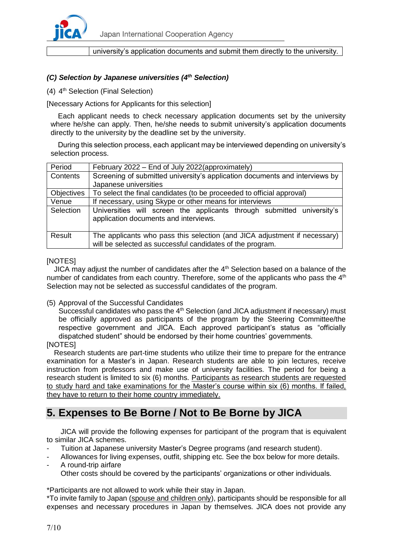

#### university's application documents and submit them directly to the university.

### *(C) Selection by Japanese universities (4 th Selection)*

(4) 4<sup>th</sup> Selection (Final Selection)

[Necessary Actions for Applicants for this selection]

Each applicant needs to check necessary application documents set by the university where he/she can apply. Then, he/she needs to submit university's application documents directly to the university by the deadline set by the university.

During this selection process, each applicant may be interviewed depending on university's selection process.

| Period            | February 2022 – End of July 2022 (approximately)                                                                                       |  |  |
|-------------------|----------------------------------------------------------------------------------------------------------------------------------------|--|--|
| Contents          | Screening of submitted university's application documents and interviews by                                                            |  |  |
|                   | Japanese universities                                                                                                                  |  |  |
| <b>Objectives</b> | To select the final candidates (to be proceeded to official approval)                                                                  |  |  |
| Venue             | If necessary, using Skype or other means for interviews                                                                                |  |  |
| Selection         | Universities will screen the applicants through submitted university's<br>application documents and interviews.                        |  |  |
| Result            | The applicants who pass this selection (and JICA adjustment if necessary)<br>will be selected as successful candidates of the program. |  |  |

#### [NOTES]

JICA may adjust the number of candidates after the 4<sup>th</sup> Selection based on a balance of the number of candidates from each country. Therefore, some of the applicants who pass the  $4<sup>th</sup>$ Selection may not be selected as successful candidates of the program.

(5) Approval of the Successful Candidates

Successful candidates who pass the  $4<sup>th</sup>$  Selection (and JICA adjustment if necessary) must be officially approved as participants of the program by the Steering Committee/the respective government and JICA. Each approved participant's status as "officially dispatched student" should be endorsed by their home countries' governments.

[NOTES]

Research students are part-time students who utilize their time to prepare for the entrance examination for a Master's in Japan. Research students are able to join lectures, receive instruction from professors and make use of university facilities. The period for being a research student is limited to six (6) months. Participants as research students are requested to study hard and take examinations for the Master's course within six (6) months. If failed, they have to return to their home country immediately.

# **5. Expenses to Be Borne / Not to Be Borne by JICA**

JICA will provide the following expenses for participant of the program that is equivalent to similar JICA schemes.

- Tuition at Japanese university Master's Degree programs (and research student).
- Allowances for living expenses, outfit, shipping etc. See the box below for more details.
- A round-trip airfare

Other costs should be covered by the participants' organizations or other individuals.

\*Participants are not allowed to work while their stay in Japan.

\*To invite family to Japan (spouse and children only), participants should be responsible for all expenses and necessary procedures in Japan by themselves. JICA does not provide any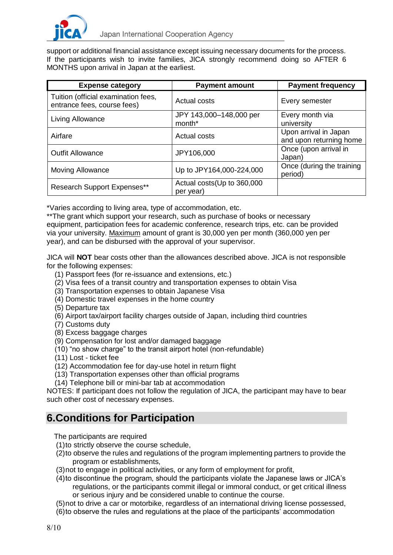

support or additional financial assistance except issuing necessary documents for the process. If the participants wish to invite families, JICA strongly recommend doing so AFTER 6 MONTHS upon arrival in Japan at the earliest.

| <b>Expense category</b>                                            | <b>Payment amount</b>                         | <b>Payment frequency</b>                         |
|--------------------------------------------------------------------|-----------------------------------------------|--------------------------------------------------|
| Tuition (official examination fees,<br>entrance fees, course fees) | Actual costs                                  | Every semester                                   |
| Living Allowance                                                   | JPY 143,000-148,000 per<br>month <sup>*</sup> | Every month via<br>university                    |
| Airfare                                                            | Actual costs                                  | Upon arrival in Japan<br>and upon returning home |
| <b>Outfit Allowance</b>                                            | JPY106,000                                    | Once (upon arrival in<br>Japan)                  |
| <b>Moving Allowance</b>                                            | Up to JPY164,000-224,000                      | Once (during the training<br>period)             |
| <b>Research Support Expenses**</b>                                 | Actual costs (Up to 360,000<br>per year)      |                                                  |

\*Varies according to living area, type of accommodation, etc.

\*\*The grant which support your research, such as purchase of books or necessary equipment, participation fees for academic conference, research trips, etc. can be provided via your university. Maximum amount of grant is 30,000 yen per month (360,000 yen per year), and can be disbursed with the approval of your supervisor.

JICA will **NOT** bear costs other than the allowances described above. JICA is not responsible for the following expenses:

- (1) Passport fees (for re-issuance and extensions, etc.)
- (2) Visa fees of a transit country and transportation expenses to obtain Visa
- (3) Transportation expenses to obtain Japanese Visa
- (4) Domestic travel expenses in the home country
- (5) Departure tax
- (6) Airport tax/airport facility charges outside of Japan, including third countries
- (7) Customs duty
- (8) Excess baggage charges
- (9) Compensation for lost and/or damaged baggage
- (10) "no show charge" to the transit airport hotel (non-refundable)
- (11) Lost ticket fee
- (12) Accommodation fee for day-use hotel in return flight
- (13) Transportation expenses other than official programs
- (14) Telephone bill or mini-bar tab at accommodation

NOTES: If participant does not follow the regulation of JICA, the participant may have to bear such other cost of necessary expenses.

## **6.Conditions for Participation**

The participants are required

- (1)to strictly observe the course schedule,
- (2)to observe the rules and regulations of the program implementing partners to provide the program or establishments,
- (3)not to engage in political activities, or any form of employment for profit,
- (4)to discontinue the program, should the participants violate the Japanese laws or JICA's regulations, or the participants commit illegal or immoral conduct, or get critical illness or serious injury and be considered unable to continue the course.
- (5)not to drive a car or motorbike, regardless of an international driving license possessed,
- (6)to observe the rules and regulations at the place of the participants' accommodation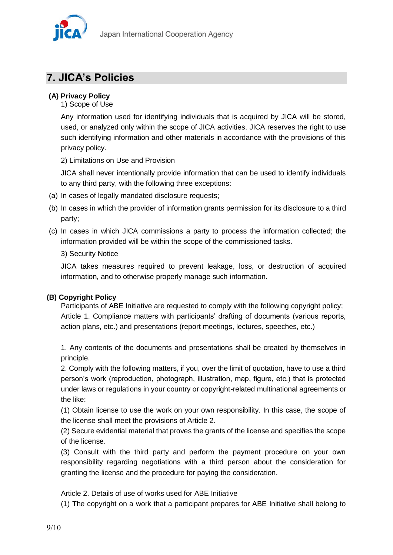

# **7. JICA's Policies**

### **(A) Privacy Policy**

1) Scope of Use

Any information used for identifying individuals that is acquired by JICA will be stored, used, or analyzed only within the scope of JICA activities. JICA reserves the right to use such identifying information and other materials in accordance with the provisions of this privacy policy.

2) Limitations on Use and Provision

JICA shall never intentionally provide information that can be used to identify individuals to any third party, with the following three exceptions:

- (a) In cases of legally mandated disclosure requests;
- (b) In cases in which the provider of information grants permission for its disclosure to a third party;
- (c) In cases in which JICA commissions a party to process the information collected; the information provided will be within the scope of the commissioned tasks.

### 3) Security Notice

JICA takes measures required to prevent leakage, loss, or destruction of acquired information, and to otherwise properly manage such information.

## **(B) Copyright Policy**

Participants of ABE Initiative are requested to comply with the following copyright policy; Article 1. Compliance matters with participants' drafting of documents (various reports, action plans, etc.) and presentations (report meetings, lectures, speeches, etc.)

1. Any contents of the documents and presentations shall be created by themselves in principle.

2. Comply with the following matters, if you, over the limit of quotation, have to use a third person's work (reproduction, photograph, illustration, map, figure, etc.) that is protected under laws or regulations in your country or copyright-related multinational agreements or the like:

(1) Obtain license to use the work on your own responsibility. In this case, the scope of the license shall meet the provisions of Article 2.

(2) Secure evidential material that proves the grants of the license and specifies the scope of the license.

(3) Consult with the third party and perform the payment procedure on your own responsibility regarding negotiations with a third person about the consideration for granting the license and the procedure for paying the consideration.

### Article 2. Details of use of works used for ABE Initiative

(1) The copyright on a work that a participant prepares for ABE Initiative shall belong to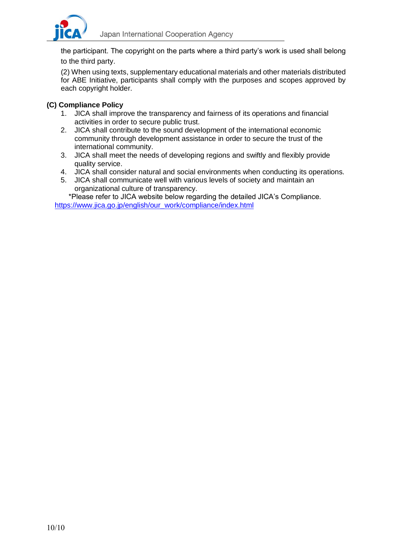

the participant. The copyright on the parts where a third party's work is used shall belong to the third party.

(2) When using texts, supplementary educational materials and other materials distributed for ABE Initiative, participants shall comply with the purposes and scopes approved by each copyright holder.

#### **(C) Compliance Policy**

- 1. JICA shall improve the transparency and fairness of its operations and financial activities in order to secure public trust.
- 2. JICA shall contribute to the sound development of the international economic community through development assistance in order to secure the trust of the international community.
- 3. JICA shall meet the needs of developing regions and swiftly and flexibly provide quality service.
- 4. JICA shall consider natural and social environments when conducting its operations.
- 5. JICA shall communicate well with various levels of society and maintain an organizational culture of transparency.

 \*Please refer to JICA website below regarding the detailed JICA's Compliance. [https://www.jica.go.jp/english/our\\_work/compliance/index.html](https://www.jica.go.jp/english/our_work/compliance/index.html)